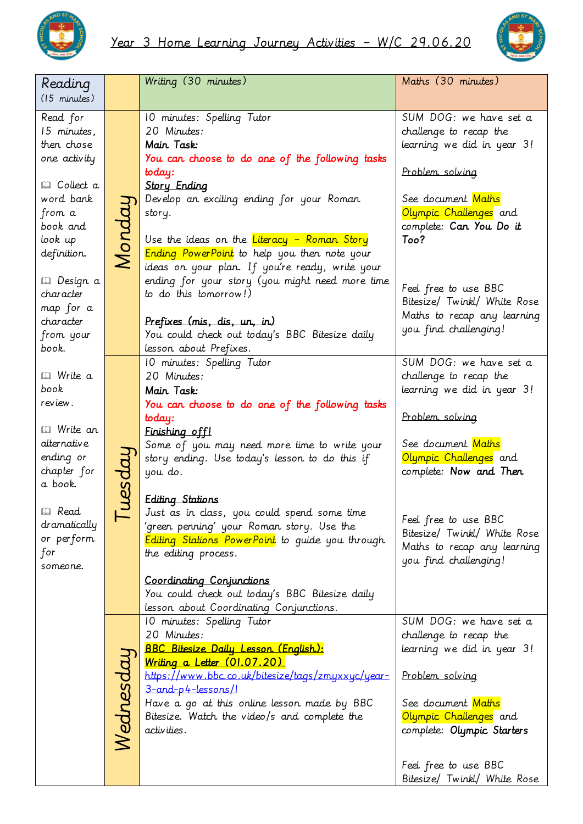



| Reading<br>$(15$ minutes)                                                                                                                                                          |           | Writing (30 minutes)                                                                                                                                                                                                                                                                                                                                                                                                                                   | Maths (30 minutes)                                                                                                                                                                                                                                                                          |
|------------------------------------------------------------------------------------------------------------------------------------------------------------------------------------|-----------|--------------------------------------------------------------------------------------------------------------------------------------------------------------------------------------------------------------------------------------------------------------------------------------------------------------------------------------------------------------------------------------------------------------------------------------------------------|---------------------------------------------------------------------------------------------------------------------------------------------------------------------------------------------------------------------------------------------------------------------------------------------|
| Read for<br>15 minutes,<br>then chose<br>one activity<br><b>Q</b> Collect a                                                                                                        |           | 10 minutes: Spelling Tutor<br>20 Minutes:<br>Main Task:<br>You can choose to do one of the following tasks<br>today:<br><b>Story Ending</b>                                                                                                                                                                                                                                                                                                            | SUM DOG: we have set a<br>challenge to recap the<br>learning we did in year 3!<br><u>Problem solving</u>                                                                                                                                                                                    |
| word bank<br>from a<br>book and<br>look up<br>definition.                                                                                                                          | Monday    | Develop an exciting ending for your Roman<br>story.<br>Use the ideas on the Literacy - Roman Story<br>Ending PowerPoint to help you then note your<br>ideas on your plan. If you're ready, write your                                                                                                                                                                                                                                                  | See document Maths<br>Olympic Challenges and<br>complete: Can You Do it<br>Too?                                                                                                                                                                                                             |
| <b>μ</b> Design a<br>character<br>map for a<br>character<br>from your<br>book.                                                                                                     |           | ending for your story (you might need more time<br>to do this tomorrow!)<br>Prefixes (mis, dis, un, in)<br>You could check out today's BBC Bitesize daily<br>lesson about Prefixes.                                                                                                                                                                                                                                                                    | Feel free to use BBC<br>Bitesize/ Twinkl/ White Rose<br>Maths to recap any learning<br>you find challenging!                                                                                                                                                                                |
| <b>Ill</b> Write a<br>book<br>review.<br><b>Q</b> Write an<br>alternative<br>ending or<br>chapter for<br>a book.<br><b>Q</b> Read<br>dramatically<br>or perform<br>for<br>someone. | ಲೆ        | 10 minutes: Spelling Tutor<br>20 Minutes:<br>Main Task:<br>You can choose to do one of the following tasks<br>today:<br>Finishing off!<br>Some of you may need more time to write your<br>story ending. Use today's lesson to do this if<br>you do.<br>Editing Stations<br>Just as in class, you could spend some time<br>'green penning' your Roman story. Use the<br><b>Editing Stations PowerPoint</b> to guide you through<br>the editing process. | SUM DOG: we have set a<br>challenge to recap the<br>learning we did in year 3!<br>Problem solving<br>See document Maths<br>Olympic Challenges and<br>complete: Now and Then<br>Feel free to use BBC<br>Bitesize/ Twinkl/ White Rose<br>Maths to recap any learning<br>you find challenging! |
|                                                                                                                                                                                    |           | <b>Coordinating Conjunctions</b><br>You could check out today's BBC Bitesize daily<br>lesson about Coordinating Conjunctions.                                                                                                                                                                                                                                                                                                                          |                                                                                                                                                                                                                                                                                             |
|                                                                                                                                                                                    | Wednesday | 10 minutes: Spelling Tutor<br>20 Minutes:<br><u> BBC Bitesize Daily Lesson (English):</u><br><u> Writing a Letter (01.07.20)</u><br>https://www.bbc.co.uk/bitesize/tags/zmyxxyc/year-<br>3-and-p4-lessons/1<br>Have a go at this online lesson made by BBC<br>Bitesize. Watch the video/s and complete the<br>activities.                                                                                                                              | SUM DOG: we have set a<br>challenge to recap the<br>learning we did in year 3!<br><u>Problem solving</u><br>See document Maths<br>Olympic Challenges and<br>complete: Olympic Starters                                                                                                      |
|                                                                                                                                                                                    |           |                                                                                                                                                                                                                                                                                                                                                                                                                                                        | Feel free to use BBC<br>Bitesize/ Twinkl/ White Rose                                                                                                                                                                                                                                        |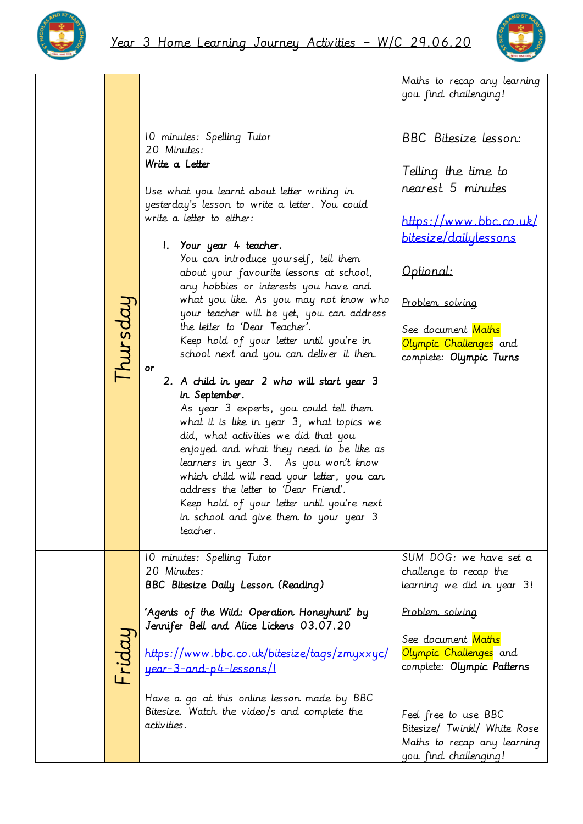



|          |                                                                                                                                                                                                                                                                                                                                                                                                                                                                                                                                                                                                                                                                                                                                                | Maths to recap any learning<br>you find challenging!                                                                                                                                                                                                                                            |
|----------|------------------------------------------------------------------------------------------------------------------------------------------------------------------------------------------------------------------------------------------------------------------------------------------------------------------------------------------------------------------------------------------------------------------------------------------------------------------------------------------------------------------------------------------------------------------------------------------------------------------------------------------------------------------------------------------------------------------------------------------------|-------------------------------------------------------------------------------------------------------------------------------------------------------------------------------------------------------------------------------------------------------------------------------------------------|
|          |                                                                                                                                                                                                                                                                                                                                                                                                                                                                                                                                                                                                                                                                                                                                                |                                                                                                                                                                                                                                                                                                 |
|          | 10 minutes: Spelling Tutor<br>20 Minutes:                                                                                                                                                                                                                                                                                                                                                                                                                                                                                                                                                                                                                                                                                                      | <b>BBC</b> Bitesize lesson:                                                                                                                                                                                                                                                                     |
|          | Write a Letter<br>Use what you learnt about letter writing in<br>yesterday's lesson to write a letter. You could<br>write a letter to either:<br>1. Your year 4 teacher.<br>You can introduce yourself, tell them<br>about your favourite lessons at school,                                                                                                                                                                                                                                                                                                                                                                                                                                                                                   | Telling the time to<br>nearest 5 minutes<br>https://www.bbc.co.uk/<br>bitesize/dailylessons<br><u> Optional:</u>                                                                                                                                                                                |
| Thursday | any hobbies or interests you have and<br>what you like. As you may not know who<br>your teacher will be yet, you can address<br>the letter to 'Dear Teacher'.<br>Keep hold of your letter until you're in<br>school next and you can deliver it then.<br>$\alpha$<br>2. A child in year 2 who will start year 3<br>in September.<br>As year 3 experts, you could tell them<br>what it is like in year 3, what topics we<br>did, what activities we did that you<br>enjoyed and what they need to be like as<br>learners in year 3. As you won't know<br>which child will read your letter, you can<br>address the letter to 'Dear Friend'.<br>Keep hold of your letter until you're next<br>in school and give them to your year 3<br>teacher. | Problem solving<br>See document Maths<br>Olympic Challenges and<br>complete: Olympic Turns                                                                                                                                                                                                      |
| Friday   | 10 minutes: Spelling Tutor<br>20 Minutes:<br>BBC Bitesize Daily Lesson (Reading)<br>'Agents of the Wild: Operation Honeyhunt' by<br>Jennifer Bell and Alice Lickens 03.07.20<br>https://www.bbc.co.uk/bitesize/tags/zmyxxyc/<br>year-3-and-p4-lessons/1<br>Have a go at this online lesson made by BBC<br>Bitesize. Watch the video/s and complete the<br>activities.                                                                                                                                                                                                                                                                                                                                                                          | SUM DOG: we have set a<br>challenge to recap the<br>learning we did in year 3!<br>Problem solving<br>See document Maths<br>Olympic Challenges and<br>complete: Olympic Patterns<br>Feel free to use BBC<br>Bitesize/ Twinkl/ White Rose<br>Maths to recap any learning<br>you find challenging! |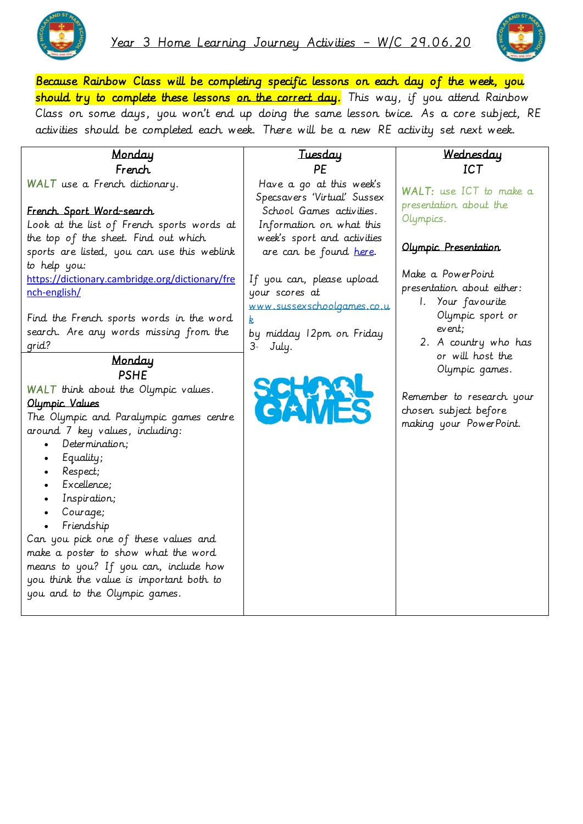



Because Rainbow Class will be completing specific lessons on each day of the week, you should try to complete these lessons on the correct day. This way, if you attend Rainbow Class on some days, you won't end up doing the same lesson twice. As a core subject, RE activities should be completed each week. There will be a new RE activity set next week.

| Monday                                                                                                                                                                                                                                                                                                                                                                                                                                                                        | <b>Tuesday</b>                                                                                                  | Wednesday                                                                                                           |
|-------------------------------------------------------------------------------------------------------------------------------------------------------------------------------------------------------------------------------------------------------------------------------------------------------------------------------------------------------------------------------------------------------------------------------------------------------------------------------|-----------------------------------------------------------------------------------------------------------------|---------------------------------------------------------------------------------------------------------------------|
| French                                                                                                                                                                                                                                                                                                                                                                                                                                                                        | PE                                                                                                              | <b>ICT</b>                                                                                                          |
| WALT use a French dictionary.<br>French Sport Word-search<br>Look at the list of French sports words at                                                                                                                                                                                                                                                                                                                                                                       | Have a go at this week's<br>Specsavers 'Virtual' Sussex<br>School Games activities.<br>Information on what this | WALT: use ICT to make a<br>presentation about the<br>Olympics.                                                      |
| the top of the sheet. Find out which<br>sports are listed, you can use this weblink                                                                                                                                                                                                                                                                                                                                                                                           | week's sport and activities<br>are can be found here.                                                           | Olympic Presentation                                                                                                |
| to help you:<br>https://dictionary.cambridge.org/dictionary/fre<br>nch-english/                                                                                                                                                                                                                                                                                                                                                                                               | If you can, please upload<br>your scores at<br>www.sussexschoolgames.co.u                                       | Make a PowerPoint<br>presentation about either:<br>1. Your favourite                                                |
| Find the French sports words in the word<br>search. Are any words missing from the<br>qrid?                                                                                                                                                                                                                                                                                                                                                                                   | k.<br>by midday 12pm on Friday<br>3 <sup>4</sup><br>July.                                                       | Olympic sport or<br>event;<br>2. A country who has                                                                  |
| <b>Monday</b><br><b>PSHE</b><br>WALT think about the Olympic values.<br>Olympic Values<br>The Olympic and Paralympic games centre<br>around 7 key values, including:<br>Determination:<br>Equality;<br>Respect;<br>Excellence:<br>Inspiration;<br>Courage;<br>Friendship<br>Can you pick one of these values and<br>make a poster to show what the word<br>means to you? If you can, include how<br>you think the value is important both to<br>you and to the Olympic games. | <b>SERV</b>                                                                                                     | or will host the<br>Olympic games.<br>Remember to research your<br>chosen subject before<br>making your PowerPoint. |